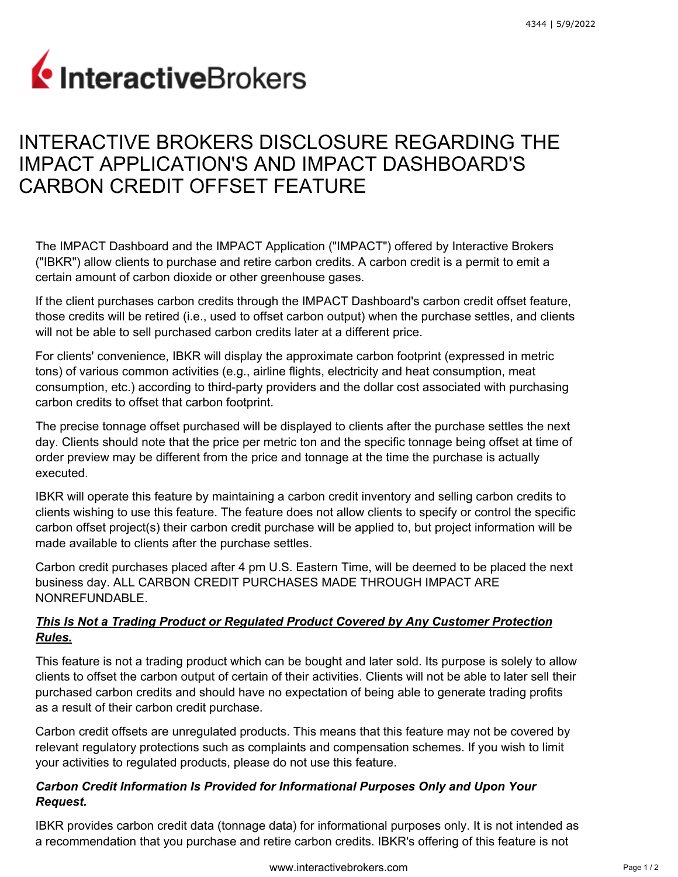# InteractiveBrokers

# INTERACTIVE BROKERS DISCLOSURE REGARDING THE IMPACT APPLICATION'S AND IMPACT DASHBOARD'S CARBON CREDIT OFFSET FEATURE

The IMPACT Dashboard and the IMPACT Application ("IMPACT") offered by Interactive Brokers ("IBKR") allow clients to purchase and retire carbon credits. A carbon credit is a permit to emit a certain amount of carbon dioxide or other greenhouse gases.

If the client purchases carbon credits through the IMPACT Dashboard's carbon credit offset feature, those credits will be retired (i.e., used to offset carbon output) when the purchase settles, and clients will not be able to sell purchased carbon credits later at a different price.

For clients' convenience, IBKR will display the approximate carbon footprint (expressed in metric tons) of various common activities (e.g., airline flights, electricity and heat consumption, meat consumption, etc.) according to third-party providers and the dollar cost associated with purchasing carbon credits to offset that carbon footprint.

The precise tonnage offset purchased will be displayed to clients after the purchase settles the next day. Clients should note that the price per metric ton and the specific tonnage being offset at time of order preview may be different from the price and tonnage at the time the purchase is actually executed.

IBKR will operate this feature by maintaining a carbon credit inventory and selling carbon credits to clients wishing to use this feature. The feature does not allow clients to specify or control the specific carbon offset project(s) their carbon credit purchase will be applied to, but project information will be made available to clients after the purchase settles.

Carbon credit purchases placed after 4 pm U.S. Eastern Time, will be deemed to be placed the next business day. ALL CARBON CREDIT PURCHASES MADE THROUGH IMPACT ARE NONREFUNDABLE.

## *This Is Not a Trading Product or Regulated Product Covered by Any Customer Protection Rules.*

This feature is not a trading product which can be bought and later sold. Its purpose is solely to allow clients to offset the carbon output of certain of their activities. Clients will not be able to later sell their purchased carbon credits and should have no expectation of being able to generate trading profits as a result of their carbon credit purchase.

Carbon credit offsets are unregulated products. This means that this feature may not be covered by relevant regulatory protections such as complaints and compensation schemes. If you wish to limit your activities to regulated products, please do not use this feature.

## *Carbon Credit Information Is Provided for Informational Purposes Only and Upon Your Request.*

IBKR provides carbon credit data (tonnage data) for informational purposes only. It is not intended as a recommendation that you purchase and retire carbon credits. IBKR's offering of this feature is not